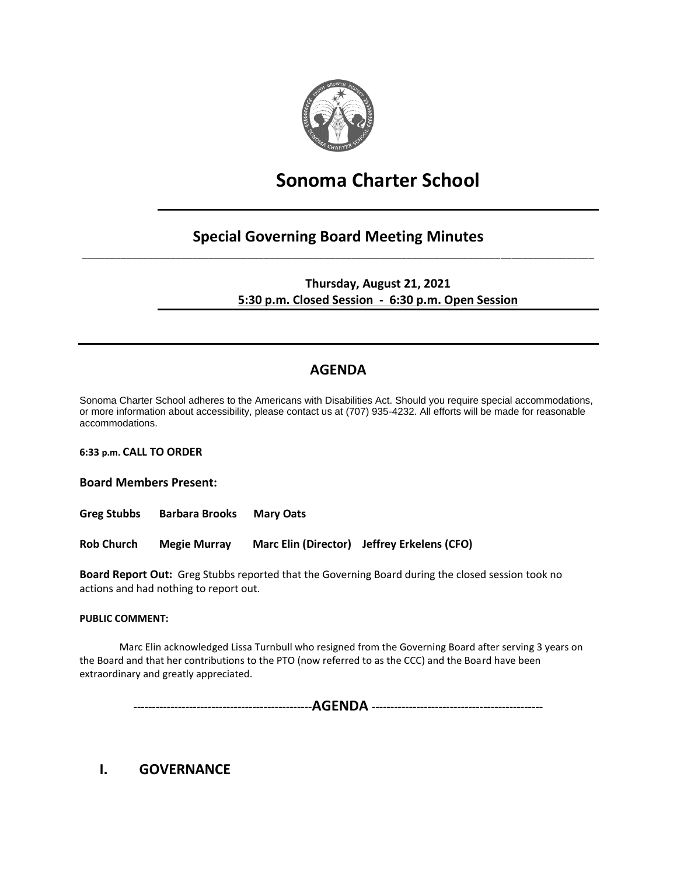

# **Sonoma Charter School**

## **Special Governing Board Meeting Minutes** \_\_\_\_\_\_\_\_\_\_\_\_\_\_\_\_\_\_\_\_\_\_\_\_\_\_\_\_\_\_\_\_\_\_\_\_\_\_\_\_\_\_\_\_\_\_\_\_\_\_\_\_\_\_\_\_\_\_\_\_\_\_\_\_\_\_\_\_\_\_\_\_\_\_\_\_\_\_\_\_\_\_\_\_\_\_\_\_\_\_\_\_\_

**Thursday, August 21, 2021 5:30 p.m. Closed Session - 6:30 p.m. Open Session**

# **AGENDA**

Sonoma Charter School adheres to the Americans with Disabilities Act. Should you require special accommodations, or more information about accessibility, please contact us at (707) 935-4232. All efforts will be made for reasonable accommodations.

**6:33 p.m. CALL TO ORDER** 

**Board Members Present:**

**Greg Stubbs Barbara Brooks Mary Oats**

**Rob Church Megie Murray Marc Elin (Director) Jeffrey Erkelens (CFO)**

**Board Report Out:** Greg Stubbs reported that the Governing Board during the closed session took no actions and had nothing to report out.

#### **PUBLIC COMMENT:**

Marc Elin acknowledged Lissa Turnbull who resigned from the Governing Board after serving 3 years on the Board and that her contributions to the PTO (now referred to as the CCC) and the Board have been extraordinary and greatly appreciated.

**------------------------------------------------AGENDA ----------------------------------------------**

## **I. GOVERNANCE**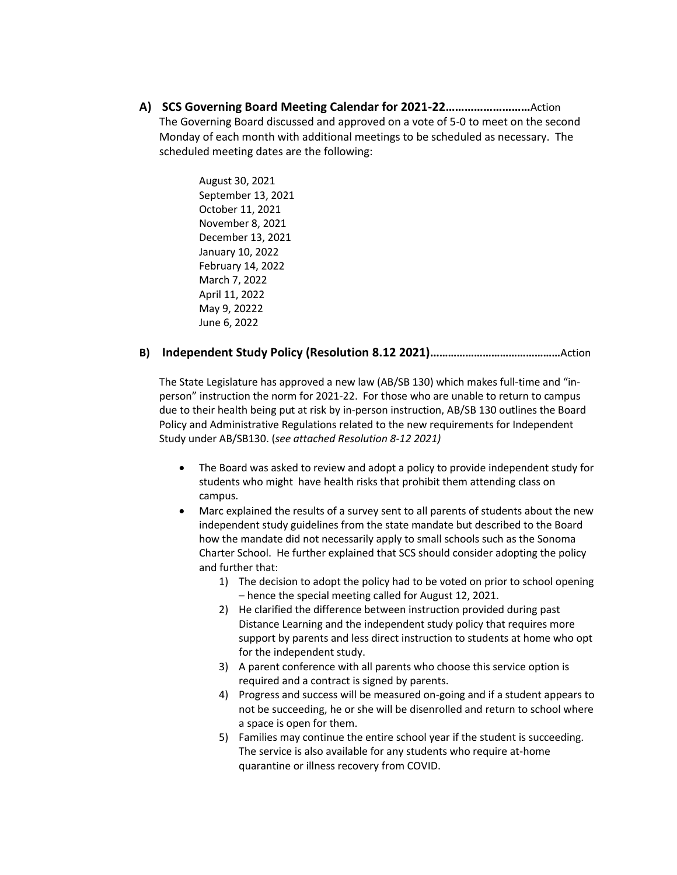**A) SCS Governing Board Meeting Calendar for 2021-22………………………**Action The Governing Board discussed and approved on a vote of 5-0 to meet on the second Monday of each month with additional meetings to be scheduled as necessary. The scheduled meeting dates are the following:

> August 30, 2021 September 13, 2021 October 11, 2021 November 8, 2021 December 13, 2021 January 10, 2022 February 14, 2022 March 7, 2022 April 11, 2022 May 9, 20222 June 6, 2022

#### **B) Independent Study Policy (Resolution 8.12 2021)………………………………………**Action

The State Legislature has approved a new law (AB/SB 130) which makes full-time and "inperson" instruction the norm for 2021-22. For those who are unable to return to campus due to their health being put at risk by in-person instruction, AB/SB 130 outlines the Board Policy and Administrative Regulations related to the new requirements for Independent Study under AB/SB130. (*see attached Resolution 8-12 2021)*

- The Board was asked to review and adopt a policy to provide independent study for students who might have health risks that prohibit them attending class on campus.
- Marc explained the results of a survey sent to all parents of students about the new independent study guidelines from the state mandate but described to the Board how the mandate did not necessarily apply to small schools such as the Sonoma Charter School. He further explained that SCS should consider adopting the policy and further that:
	- 1) The decision to adopt the policy had to be voted on prior to school opening – hence the special meeting called for August 12, 2021.
	- 2) He clarified the difference between instruction provided during past Distance Learning and the independent study policy that requires more support by parents and less direct instruction to students at home who opt for the independent study.
	- 3) A parent conference with all parents who choose this service option is required and a contract is signed by parents.
	- 4) Progress and success will be measured on-going and if a student appears to not be succeeding, he or she will be disenrolled and return to school where a space is open for them.
	- 5) Families may continue the entire school year if the student is succeeding. The service is also available for any students who require at-home quarantine or illness recovery from COVID.